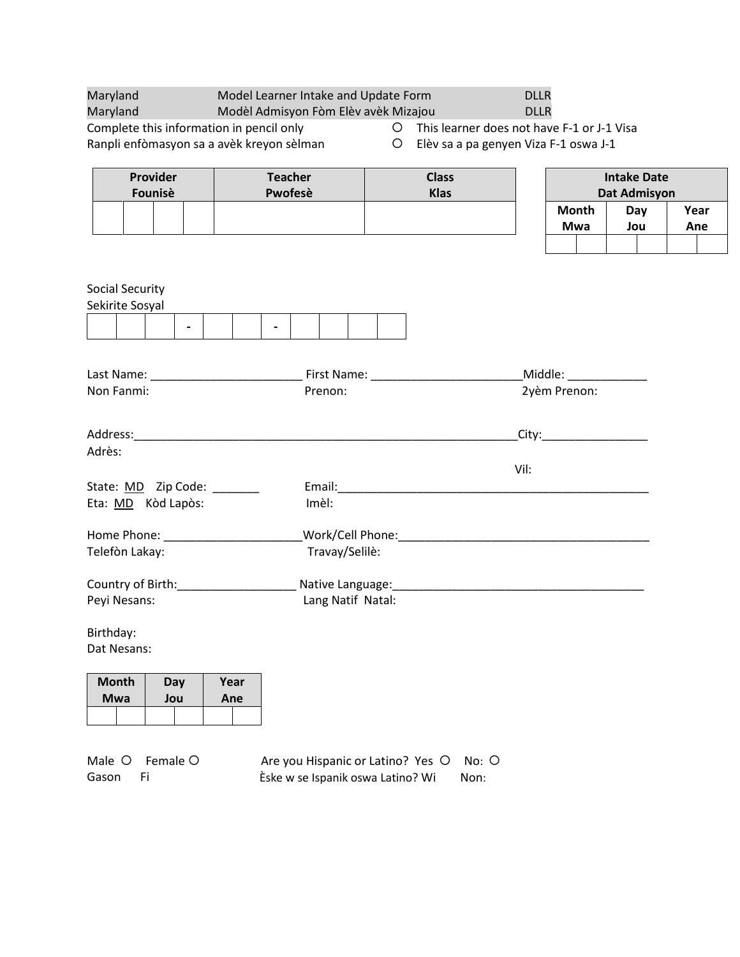| Maryland                                 | Model Learner Intake and Update Form      |         |                                                                                                                      | <b>DLLR</b> |                            |                     |      |  |
|------------------------------------------|-------------------------------------------|---------|----------------------------------------------------------------------------------------------------------------------|-------------|----------------------------|---------------------|------|--|
| Maryland                                 | Modèl Admisyon Fòm Elèv avèk Mizajou      |         |                                                                                                                      | <b>DLLR</b> |                            |                     |      |  |
| Complete this information in pencil only |                                           | $\circ$ | This learner does not have F-1 or J-1 Visa                                                                           |             |                            |                     |      |  |
|                                          | Ranpli enfòmasyon sa a avèk kreyon sèlman | $\circ$ | Elèv sa a pa genyen Viza F-1 oswa J-1                                                                                |             |                            |                     |      |  |
| Provider                                 | <b>Teacher</b>                            |         | <b>Class</b>                                                                                                         |             |                            | <b>Intake Date</b>  |      |  |
| Founisè                                  | Pwofesè                                   |         | <b>Klas</b>                                                                                                          |             |                            | <b>Dat Admisyon</b> |      |  |
|                                          |                                           |         |                                                                                                                      |             | <b>Month</b>               | Day                 | Year |  |
|                                          |                                           |         |                                                                                                                      |             | Mwa                        | Jou                 | Ane  |  |
|                                          |                                           |         |                                                                                                                      |             |                            |                     |      |  |
|                                          |                                           |         |                                                                                                                      |             |                            |                     |      |  |
| <b>Social Security</b>                   |                                           |         |                                                                                                                      |             |                            |                     |      |  |
| Sekirite Sosyal                          |                                           |         |                                                                                                                      |             |                            |                     |      |  |
|                                          |                                           |         |                                                                                                                      |             |                            |                     |      |  |
|                                          |                                           |         |                                                                                                                      |             |                            |                     |      |  |
|                                          |                                           |         |                                                                                                                      |             |                            |                     |      |  |
|                                          |                                           |         |                                                                                                                      |             |                            |                     |      |  |
| Non Fanmi:                               | Prenon:                                   |         |                                                                                                                      |             | 2yèm Prenon:               |                     |      |  |
|                                          |                                           |         |                                                                                                                      |             |                            |                     |      |  |
|                                          |                                           |         |                                                                                                                      |             | _City:____________________ |                     |      |  |
| Adrès:                                   |                                           |         |                                                                                                                      |             |                            |                     |      |  |
|                                          |                                           |         |                                                                                                                      | Vil:        |                            |                     |      |  |
| State: MD Zip Code: ______               |                                           |         |                                                                                                                      |             |                            |                     |      |  |
| Eta: MD Kòd Lapòs:                       | Imèl:                                     |         |                                                                                                                      |             |                            |                     |      |  |
|                                          |                                           |         |                                                                                                                      |             |                            |                     |      |  |
| Telefòn Lakay:                           | Travay/Selilè:                            |         |                                                                                                                      |             |                            |                     |      |  |
|                                          |                                           |         |                                                                                                                      |             |                            |                     |      |  |
| Country of Birth: Country of Birth:      |                                           |         | Native Language: National Accounts and Accounts and Accounts and Accounts and Accounts and Accounts and Accounts and |             |                            |                     |      |  |
| Peyi Nesans:                             | Lang Natif Natal:                         |         |                                                                                                                      |             |                            |                     |      |  |
| Birthday:                                |                                           |         |                                                                                                                      |             |                            |                     |      |  |
| Dat Nesans:                              |                                           |         |                                                                                                                      |             |                            |                     |      |  |
|                                          |                                           |         |                                                                                                                      |             |                            |                     |      |  |

| <b>Month</b> |  | Day | Year |  |  |  |
|--------------|--|-----|------|--|--|--|
| Mwa          |  | Jou | Ane  |  |  |  |
|              |  |     |      |  |  |  |

|       | Male O Female O | Are you Hispanic or Latino? Yes O No: O |      |
|-------|-----------------|-----------------------------------------|------|
| Gason |                 | Èske w se Ispanik oswa Latino? Wi       | Non: |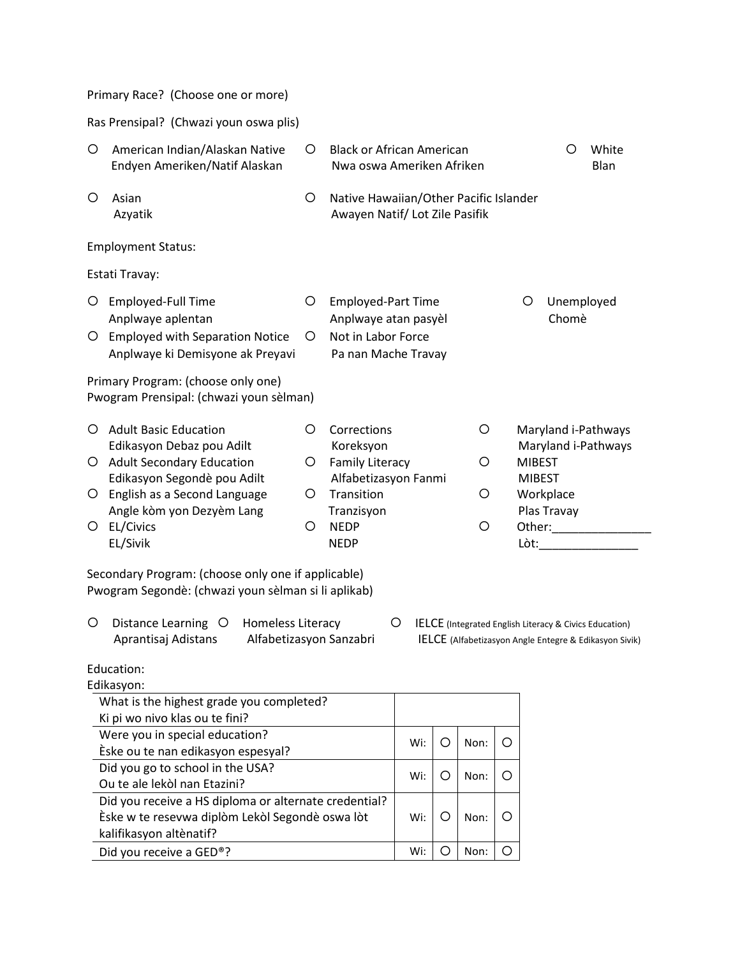Ras Prensipal? (Chwazi youn oswa plis)

| O<br>American Indian/Alaskan Native<br>Endyen Ameriken/Natif Alaskan |                                                                               | O | <b>Black or African American</b><br>Nwa oswa Ameriken Afriken            |  |                                | O                        | White<br>Blan       |
|----------------------------------------------------------------------|-------------------------------------------------------------------------------|---|--------------------------------------------------------------------------|--|--------------------------------|--------------------------|---------------------|
| O                                                                    | Asian<br>Azyatik                                                              | O | Native Hawaiian/Other Pacific Islander<br>Awayen Natif/ Lot Zile Pasifik |  |                                |                          |                     |
|                                                                      | <b>Employment Status:</b>                                                     |   |                                                                          |  |                                |                          |                     |
|                                                                      | Estati Travay:                                                                |   |                                                                          |  |                                |                          |                     |
| O                                                                    | Employed-Full Time<br>Anplwaye aplentan                                       | O | <b>Employed-Part Time</b><br>Anplwaye atan pasyèl                        |  | O                              | Unemployed<br>Chomè      |                     |
| O                                                                    | <b>Employed with Separation Notice</b><br>Anplwaye ki Demisyone ak Preyavi    | O | Not in Labor Force<br>Pa nan Mache Travay                                |  |                                |                          |                     |
|                                                                      | Primary Program: (choose only one)<br>Pwogram Prensipal: (chwazi youn sèlman) |   |                                                                          |  |                                |                          |                     |
| ∩                                                                    | <b>Adult Basic Education</b><br>Edikasyon Debaz pou Adilt                     | O | Corrections<br>O<br>Koreksyon                                            |  |                                | Maryland i-Pathways      | Maryland i-Pathways |
| O                                                                    | <b>Adult Secondary Education</b><br>Edikasyon Segondè pou Adilt               | O | <b>Family Literacy</b><br>O<br>Alfabetizasyon Fanmi                      |  | <b>MIBEST</b><br><b>MIBEST</b> |                          |                     |
| O                                                                    | English as a Second Language<br>Angle kòm yon Dezyèm Lang                     | O | Transition<br>O<br>Tranzisyon                                            |  |                                | Workplace<br>Plas Travay |                     |
| O                                                                    | EL/Civics<br>EL/Sivik                                                         | O | <b>NEDP</b><br>O<br><b>NEDP</b>                                          |  | Lòt:                           | Other:                   |                     |
|                                                                      | Caracter dam : Duamont de la barra rambitana di annoltrale la V               |   |                                                                          |  |                                |                          |                     |

Secondary Program: (choose only one if applicable) Pwogram Segondè: (chwazi youn sèlman si li aplikab)

- O Distance Learning O Homeless Literacy <br>
O IELCE (Integrated English Literacy & Civics Education) Aprantisaj Adistans Alfabetizasyon Sanzabri IELCE (Alfabetizasyon Angle Entegre & Edikasyon Sivik)
	-

## Education:

| Edikasyon:                                            |     |      |  |
|-------------------------------------------------------|-----|------|--|
| What is the highest grade you completed?              |     |      |  |
| Ki pi wo nivo klas ou te fini?                        |     |      |  |
| Were you in special education?                        | Wi: | Non: |  |
| Eske ou te nan edikasyon espesyal?                    |     |      |  |
| Did you go to school in the USA?                      |     |      |  |
| Ou te ale lekòl nan Etazini?                          | Wi: | Non: |  |
| Did you receive a HS diploma or alternate credential? |     |      |  |
| Èske w te resevwa diplòm Lekòl Segondè oswa lòt       | Wi: | Non: |  |
| kalifikasyon altènatif?                               |     |      |  |
| Did you receive a GED®?                               | Wi: | Non: |  |
|                                                       |     |      |  |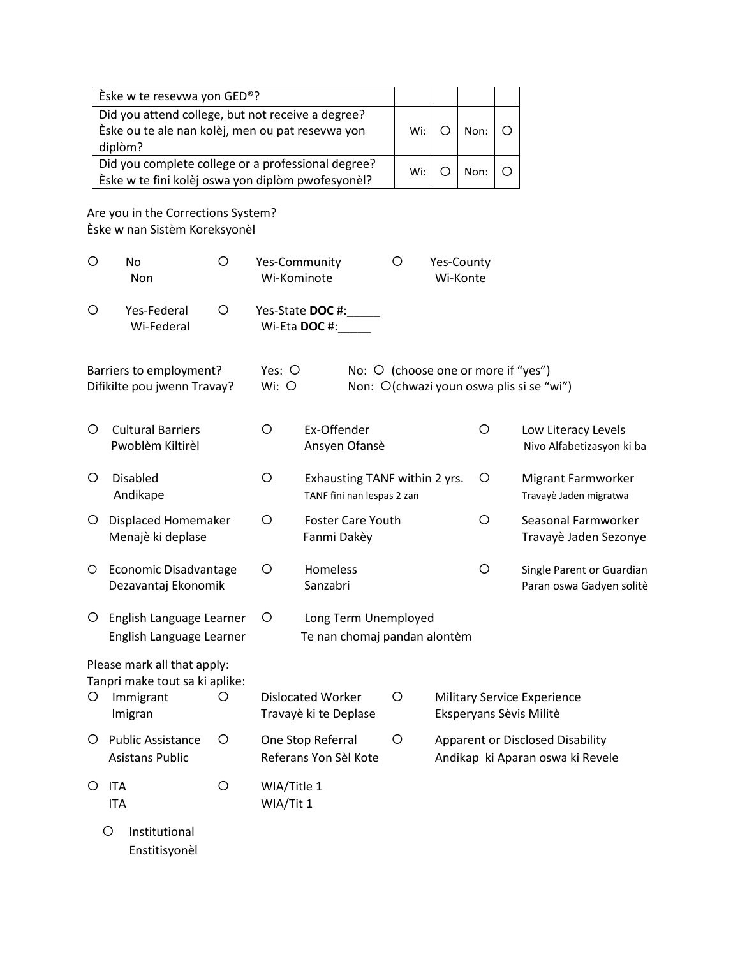|         | Eske w te resevwa yon GED®?                                                                           |   |                            |                                                             |                                     |         |                        |   |                                                                             |
|---------|-------------------------------------------------------------------------------------------------------|---|----------------------------|-------------------------------------------------------------|-------------------------------------|---------|------------------------|---|-----------------------------------------------------------------------------|
|         | Did you attend college, but not receive a degree?<br>Èske ou te ale nan kolèj, men ou pat resevwa yon |   |                            |                                                             | Wi:                                 | $\circ$ | Non:                   | O |                                                                             |
|         | diplòm?<br>Did you complete college or a professional degree?                                         |   |                            |                                                             | Wi:                                 | $\circ$ | Non:                   | O |                                                                             |
|         | Èske w te fini kolèj oswa yon diplòm pwofesyonèl?                                                     |   |                            |                                                             |                                     |         |                        |   |                                                                             |
|         | Are you in the Corrections System?<br>Èske w nan Sistèm Koreksyonèl                                   |   |                            |                                                             |                                     |         |                        |   |                                                                             |
| O       | No<br>Non                                                                                             | O | Wi-Kominote                | Yes-Community                                               | O                                   |         | Yes-County<br>Wi-Konte |   |                                                                             |
| O       | Yes-Federal<br>Wi-Federal                                                                             | O |                            | Yes-State DOC #:<br>Wi-Eta DOC #:                           |                                     |         |                        |   |                                                                             |
|         | Barriers to employment?<br>Difikilte pou jwenn Travay?                                                |   | Yes: O<br>$Wi:$ $\bigcirc$ |                                                             | No: O (choose one or more if "yes") |         |                        |   | Non: O(chwazi youn oswa plis si se "wi")                                    |
| O       | <b>Cultural Barriers</b><br>Pwoblèm Kiltirèl                                                          |   | O                          | Ex-Offender<br>Ansyen Ofansè                                |                                     |         | O                      |   | Low Literacy Levels<br>Nivo Alfabetizasyon ki ba                            |
| $\circ$ | <b>Disabled</b><br>Andikape                                                                           |   | O                          | Exhausting TANF within 2 yrs.<br>TANF fini nan lespas 2 zan |                                     |         | O                      |   | Migrant Farmworker<br>Travayè Jaden migratwa                                |
| O       | <b>Displaced Homemaker</b><br>Menajè ki deplase                                                       |   | O                          | <b>Foster Care Youth</b><br>Fanmi Dakèy                     |                                     |         | O                      |   | Seasonal Farmworker<br>Travayè Jaden Sezonye                                |
| O       | <b>Economic Disadvantage</b><br>Dezavantaj Ekonomik                                                   |   | O                          | <b>Homeless</b><br>Sanzabri                                 |                                     |         | O                      |   | Single Parent or Guardian<br>Paran oswa Gadyen solitè                       |
| O       | English Language Learner<br>English Language Learner                                                  |   | O                          | Long Term Unemployed<br>Te nan chomaj pandan alontèm        |                                     |         |                        |   |                                                                             |
| O       | Please mark all that apply:<br>Tanpri make tout sa ki aplike:<br>Immigrant                            | O |                            | <b>Dislocated Worker</b>                                    | O                                   |         |                        |   | <b>Military Service Experience</b><br>Eksperyans Sèvis Militè               |
|         | Imigran                                                                                               |   |                            | Travayè ki te Deplase                                       |                                     |         |                        |   |                                                                             |
| Ő       | <b>Public Assistance</b><br><b>Asistans Public</b>                                                    | O |                            | One Stop Referral<br>Referans Yon Sèl Kote                  | O                                   |         |                        |   | <b>Apparent or Disclosed Disability</b><br>Andikap ki Aparan oswa ki Revele |
| O       | <b>ITA</b><br><b>ITA</b>                                                                              | O | WIA/Title 1<br>WIA/Tit 1   |                                                             |                                     |         |                        |   |                                                                             |
|         | Institutional<br>O<br>Enstitisyonèl                                                                   |   |                            |                                                             |                                     |         |                        |   |                                                                             |